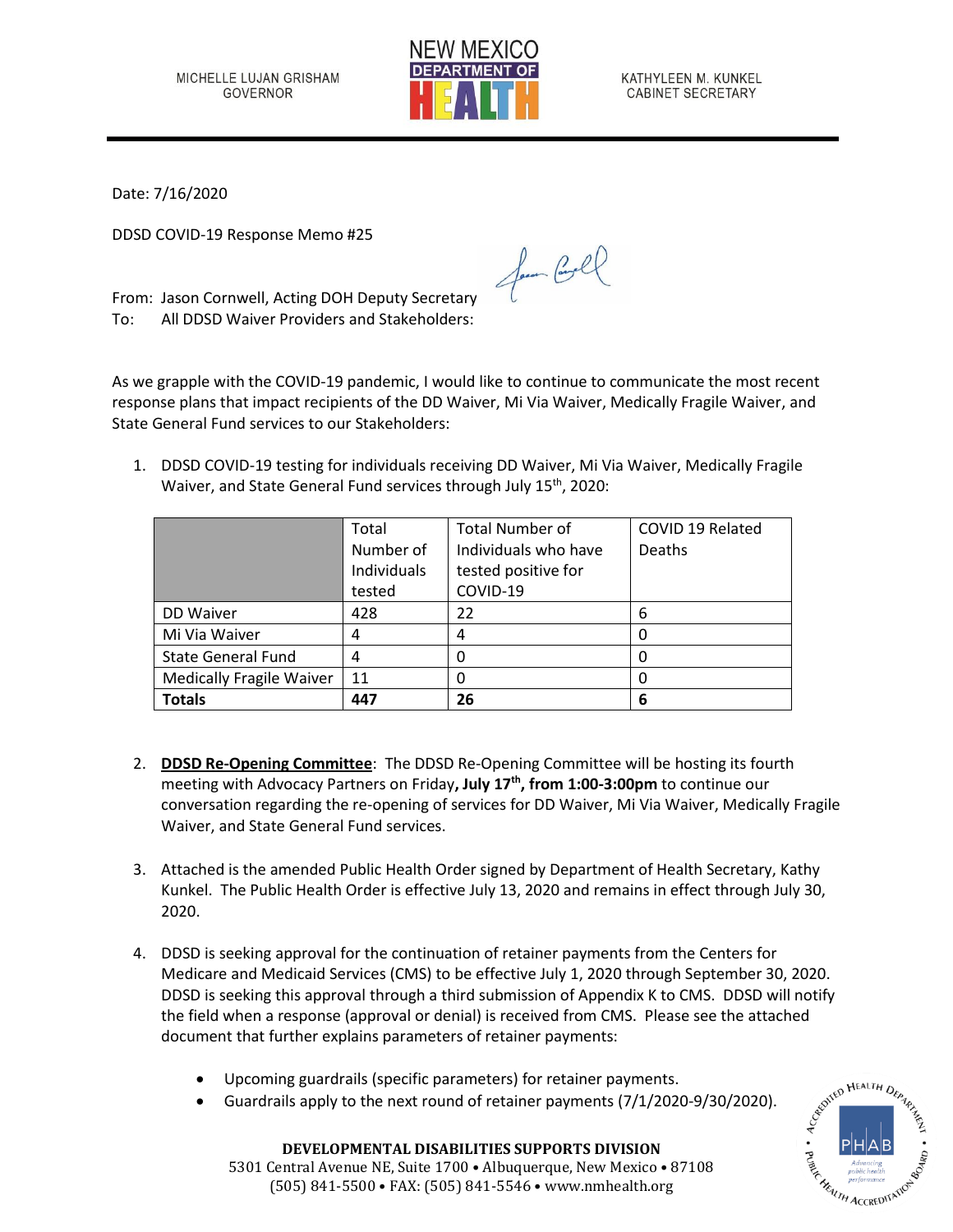

KATHYLEEN M. KUNKEL CABINET SECRETARY

Date: 7/16/2020

DDSD COVID-19 Response Memo #25

From: Jason Cornwell, Acting DOH Deputy Secretary To: All DDSD Waiver Providers and Stakeholders:

As we grapple with the COVID-19 pandemic, I would like to continue to communicate the most recent response plans that impact recipients of the DD Waiver, Mi Via Waiver, Medically Fragile Waiver, and State General Fund services to our Stakeholders:

Jam Cool

1. DDSD COVID-19 testing for individuals receiving DD Waiver, Mi Via Waiver, Medically Fragile Waiver, and State General Fund services through July 15<sup>th</sup>, 2020:

|                                 | Total       | <b>Total Number of</b> | COVID 19 Related |
|---------------------------------|-------------|------------------------|------------------|
|                                 | Number of   | Individuals who have   | <b>Deaths</b>    |
|                                 | Individuals | tested positive for    |                  |
|                                 | tested      | COVID-19               |                  |
| DD Waiver                       | 428         | 22                     | 6                |
| Mi Via Waiver                   | 4           |                        |                  |
| <b>State General Fund</b>       | 4           |                        |                  |
| <b>Medically Fragile Waiver</b> | 11          |                        |                  |
| <b>Totals</b>                   | 447         | 26                     | 6                |

- 2. **DDSD Re-Opening Committee**: The DDSD Re-Opening Committee will be hosting its fourth meeting with Advocacy Partners on Friday**, July 17 th , from 1:00-3:00pm** to continue our conversation regarding the re-opening of services for DD Waiver, Mi Via Waiver, Medically Fragile Waiver, and State General Fund services.
- 3. Attached is the amended Public Health Order signed by Department of Health Secretary, Kathy Kunkel. The Public Health Order is effective July 13, 2020 and remains in effect through July 30, 2020.
- 4. DDSD is seeking approval for the continuation of retainer payments from the Centers for Medicare and Medicaid Services (CMS) to be effective July 1, 2020 through September 30, 2020. DDSD is seeking this approval through a third submission of Appendix K to CMS. DDSD will notify the field when a response (approval or denial) is received from CMS. Please see the attached document that further explains parameters of retainer payments:
	- Upcoming guardrails (specific parameters) for retainer payments.
	- Guardrails apply to the next round of retainer payments (7/1/2020-9/30/2020).